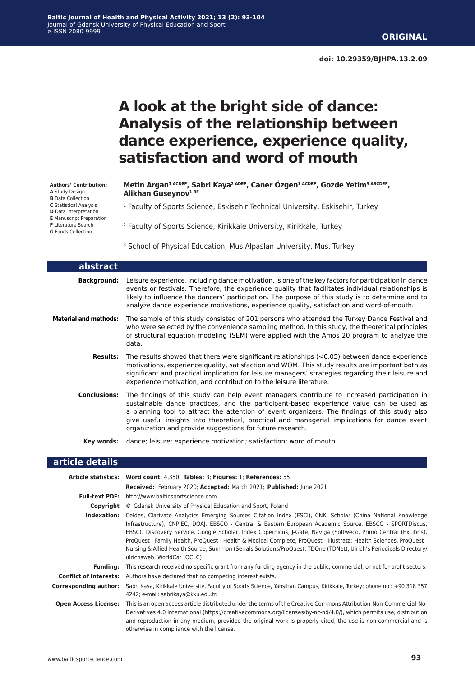# **A look at the bright side of dance: Analysis of the relationship between dance experience, experience quality, satisfaction and word of mouth**

#### **Authors' Contribution:**

**A** Study Design **B** Data Collection

**C** Statistical Analysis

- **D** Data Interpretation
- **E** Manuscript Preparation

**F** Literature Search

**G** Funds Collection

**Metin Argan1 ACDEF, Sabri Kaya2 ADEF, Caner Özgen1 ACDEF, Gozde Yetim3 ABCDEF, Alikhan Guseynov1 BF**

<sup>1</sup> Faculty of Sports Science, Eskisehir Technical University, Eskisehir, Turkey

2 Faculty of Sports Science, Kirikkale University, Kirikkale, Turkey

<sup>3</sup> School of Physical Education, Mus Alpaslan University, Mus, Turkey

| abstract              |                                                                                                                                                                                                                                                                                                                                                                                                                                                     |
|-----------------------|-----------------------------------------------------------------------------------------------------------------------------------------------------------------------------------------------------------------------------------------------------------------------------------------------------------------------------------------------------------------------------------------------------------------------------------------------------|
| <b>Background:</b>    | Leisure experience, including dance motivation, is one of the key factors for participation in dance<br>events or festivals. Therefore, the experience quality that facilitates individual relationships is<br>likely to influence the dancers' participation. The purpose of this study is to determine and to<br>analyze dance experience motivations, experience quality, satisfaction and word-of-mouth.                                        |
| Material and methods: | The sample of this study consisted of 201 persons who attended the Turkey Dance Festival and<br>who were selected by the convenience sampling method. In this study, the theoretical principles<br>of structural equation modeling (SEM) were applied with the Amos 20 program to analyze the<br>data.                                                                                                                                              |
| <b>Results:</b>       | The results showed that there were significant relationships $(<0.05)$ between dance experience<br>motivations, experience quality, satisfaction and WOM. This study results are important both as<br>significant and practical implication for leisure managers' strategies regarding their leisure and<br>experience motivation, and contribution to the leisure literature.                                                                      |
| <b>Conclusions:</b>   | The findings of this study can help event managers contribute to increased participation in<br>sustainable dance practices, and the participant-based experience value can be used as<br>a planning tool to attract the attention of event organizers. The findings of this study also<br>give useful insights into theoretical, practical and managerial implications for dance event<br>organization and provide suggestions for future research. |
| Kev words:            | dance; leisure; experience motivation; satisfaction; word of mouth.                                                                                                                                                                                                                                                                                                                                                                                 |

#### **article details**

|                             | Article statistics: Word count: 4,350; Tables: 3; Figures: 1; References: 55                                                                                                                                                                                                                                                                                                                                                                                                                                                                                                                                                          |
|-----------------------------|---------------------------------------------------------------------------------------------------------------------------------------------------------------------------------------------------------------------------------------------------------------------------------------------------------------------------------------------------------------------------------------------------------------------------------------------------------------------------------------------------------------------------------------------------------------------------------------------------------------------------------------|
|                             | Received: February 2020; Accepted: March 2021; Published: June 2021                                                                                                                                                                                                                                                                                                                                                                                                                                                                                                                                                                   |
| <b>Full-text PDF:</b>       | http://www.balticsportscience.com                                                                                                                                                                                                                                                                                                                                                                                                                                                                                                                                                                                                     |
| Copyright                   | © Gdansk University of Physical Education and Sport, Poland                                                                                                                                                                                                                                                                                                                                                                                                                                                                                                                                                                           |
|                             | <b>Indexation:</b> Celdes, Clarivate Analytics Emerging Sources Citation Index (ESCI), CNKI Scholar (China National Knowledge<br>Infrastructure), CNPIEC, DOAI, EBSCO - Central & Eastern European Academic Source, EBSCO - SPORTDiscus,<br>EBSCO Discovery Service, Google Scholar, Index Copernicus, J-Gate, Naviga (Softweco, Primo Central (ExLibris),<br>ProQuest - Family Health, ProQuest - Health & Medical Complete, ProQuest - Illustrata: Health Sciences, ProQuest -<br>Nursing & Allied Health Source, Summon (Serials Solutions/ProQuest, TDOne (TDNet), Ulrich's Periodicals Directory/<br>ulrichsweb, WorldCat (OCLC) |
| <b>Funding:</b>             | This research received no specific grant from any funding agency in the public, commercial, or not-for-profit sectors.                                                                                                                                                                                                                                                                                                                                                                                                                                                                                                                |
|                             | <b>Conflict of interests:</b> Authors have declared that no competing interest exists.                                                                                                                                                                                                                                                                                                                                                                                                                                                                                                                                                |
| Corresponding author:       | Sabri Kaya, Kirikkale University, Faculty of Sports Science, Yahsihan Campus, Kirikkale, Turkey; phone no.: +90 318 357<br>4242; e-mail: sabrikaya@kku.edu.tr.                                                                                                                                                                                                                                                                                                                                                                                                                                                                        |
| <b>Open Access License:</b> | This is an open access article distributed under the terms of the Creative Commons Attribution-Non-Commercial-No-<br>Derivatives 4.0 International (https://creativecommons.org/licenses/by-nc-nd/4.0/), which permits use, distribution<br>and reproduction in any medium, provided the original work is properly cited, the use is non-commercial and is<br>otherwise in compliance with the license.                                                                                                                                                                                                                               |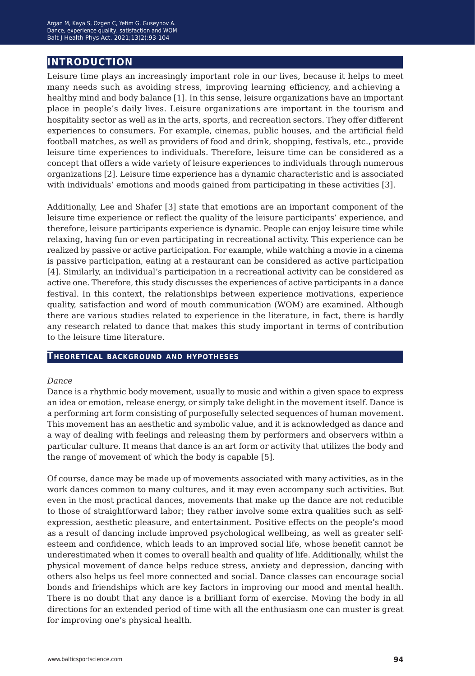# **introduction**

Leisure time plays an increasingly important role in our lives, because it helps to meet many needs such as avoiding stress, improving learning efficiency, and achieving a healthy mind and body balance [1]. In this sense, leisure organizations have an important place in people's daily lives. Leisure organizations are important in the tourism and hospitality sector as well as in the arts, sports, and recreation sectors. They offer different experiences to consumers. For example, cinemas, public houses, and the artificial field football matches, as well as providers of food and drink, shopping, festivals, etc., provide leisure time experiences to individuals. Therefore, leisure time can be considered as a concept that offers a wide variety of leisure experiences to individuals through numerous organizations [2]. Leisure time experience has a dynamic characteristic and is associated with individuals' emotions and moods gained from participating in these activities [3].

Additionally, Lee and Shafer [3] state that emotions are an important component of the leisure time experience or reflect the quality of the leisure participants' experience, and therefore, leisure participants experience is dynamic. People can enjoy leisure time while relaxing, having fun or even participating in recreational activity. This experience can be realized by passive or active participation. For example, while watching a movie in a cinema is passive participation, eating at a restaurant can be considered as active participation [4]. Similarly, an individual's participation in a recreational activity can be considered as active one. Therefore, this study discusses the experiences of active participants in a dance festival. In this context, the relationships between experience motivations, experience quality, satisfaction and word of mouth communication (WOM) are examined. Although there are various studies related to experience in the literature, in fact, there is hardly any research related to dance that makes this study important in terms of contribution to the leisure time literature.

#### **Theoretical background and hypotheses**

#### *Dance*

Dance is a rhythmic body movement, usually to music and within a given space to express an idea or emotion, release energy, or simply take delight in the movement itself. Dance is a performing art form consisting of purposefully selected sequences of human movement. This movement has an aesthetic and symbolic value, and it is acknowledged as dance and a way of dealing with feelings and releasing them by performers and observers within a particular culture. It means that dance is an art form or activity that utilizes the body and the range of movement of which the body is capable [5].

Of course, dance may be made up of movements associated with many activities, as in the work dances common to many cultures, and it may even accompany such activities. But even in the most practical dances, movements that make up the dance are not reducible to those of straightforward labor; they rather involve some extra qualities such as selfexpression, aesthetic pleasure, and entertainment. Positive effects on the people's mood as a result of dancing include improved psychological wellbeing, as well as greater selfesteem and confidence, which leads to an improved social life, whose benefit cannot be underestimated when it comes to overall health and quality of life. Additionally, whilst the physical movement of dance helps reduce stress, anxiety and depression, dancing with others also helps us feel more connected and social. Dance classes can encourage social bonds and friendships which are key factors in improving our mood and mental health. There is no doubt that any dance is a brilliant form of exercise. Moving the body in all directions for an extended period of time with all the enthusiasm one can muster is great for improving one's physical health.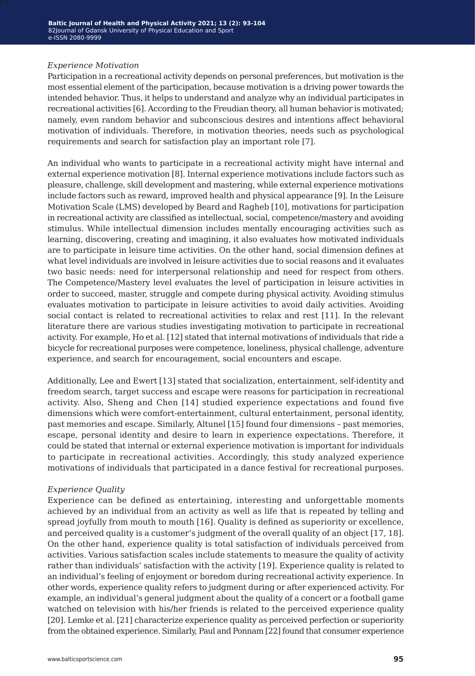#### *Experience Motivation*

Participation in a recreational activity depends on personal preferences, but motivation is the most essential element of the participation, because motivation is a driving power towards the intended behavior. Thus, it helps to understand and analyze why an individual participates in recreational activities [6]. According to the Freudian theory, all human behavior is motivated; namely, even random behavior and subconscious desires and intentions affect behavioral motivation of individuals. Therefore, in motivation theories, needs such as psychological requirements and search for satisfaction play an important role [7].

An individual who wants to participate in a recreational activity might have internal and external experience motivation [8]. Internal experience motivations include factors such as pleasure, challenge, skill development and mastering, while external experience motivations include factors such as reward, improved health and physical appearance [9]. In the Leisure Motivation Scale (LMS) developed by Beard and Ragheb [10], motivations for participation in recreational activity are classified as intellectual, social, competence/mastery and avoiding stimulus. While intellectual dimension includes mentally encouraging activities such as learning, discovering, creating and imagining, it also evaluates how motivated individuals are to participate in leisure time activities. On the other hand, social dimension defines at what level individuals are involved in leisure activities due to social reasons and it evaluates two basic needs: need for interpersonal relationship and need for respect from others. The Competence/Mastery level evaluates the level of participation in leisure activities in order to succeed, master, struggle and compete during physical activity. Avoiding stimulus evaluates motivation to participate in leisure activities to avoid daily activities. Avoiding social contact is related to recreational activities to relax and rest [11]. In the relevant literature there are various studies investigating motivation to participate in recreational activity. For example, Ho et al. [12] stated that internal motivations of individuals that ride a bicycle for recreational purposes were competence, loneliness, physical challenge, adventure experience, and search for encouragement, social encounters and escape.

Additionally, Lee and Ewert [13] stated that socialization, entertainment, self-identity and freedom search, target success and escape were reasons for participation in recreational activity. Also, Sheng and Chen [14] studied experience expectations and found five dimensions which were comfort-entertainment, cultural entertainment, personal identity, past memories and escape. Similarly, Altunel [15] found four dimensions – past memories, escape, personal identity and desire to learn in experience expectations. Therefore, it could be stated that internal or external experience motivation is important for individuals to participate in recreational activities. Accordingly, this study analyzed experience motivations of individuals that participated in a dance festival for recreational purposes.

#### *Experience Quality*

Experience can be defined as entertaining, interesting and unforgettable moments achieved by an individual from an activity as well as life that is repeated by telling and spread joyfully from mouth to mouth [16]. Quality is defined as superiority or excellence, and perceived quality is a customer's judgment of the overall quality of an object [17, 18]. On the other hand, experience quality is total satisfaction of individuals perceived from activities. Various satisfaction scales include statements to measure the quality of activity rather than individuals' satisfaction with the activity [19]. Experience quality is related to an individual's feeling of enjoyment or boredom during recreational activity experience. In other words, experience quality refers to judgment during or after experienced activity. For example, an individual's general judgment about the quality of a concert or a football game watched on television with his/her friends is related to the perceived experience quality [20]. Lemke et al. [21] characterize experience quality as perceived perfection or superiority from the obtained experience. Similarly, Paul and Ponnam [22] found that consumer experience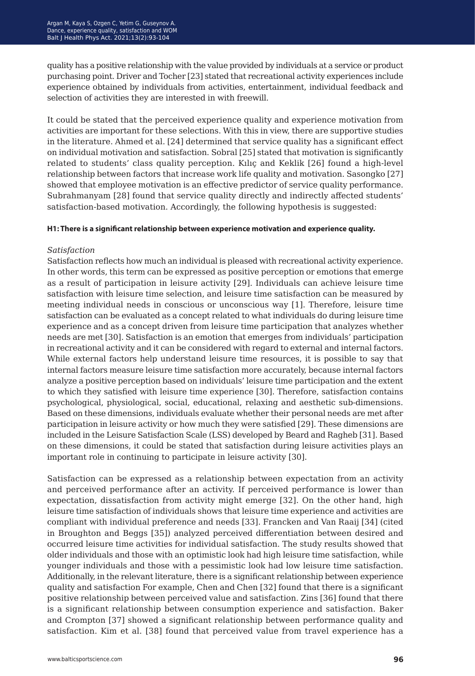quality has a positive relationship with the value provided by individuals at a service or product purchasing point. Driver and Tocher [23] stated that recreational activity experiences include experience obtained by individuals from activities, entertainment, individual feedback and selection of activities they are interested in with freewill.

It could be stated that the perceived experience quality and experience motivation from activities are important for these selections. With this in view, there are supportive studies in the literature. Ahmed et al. [24] determined that service quality has a significant effect on individual motivation and satisfaction. Sobral [25] stated that motivation is significantly related to students' class quality perception. Kılıç and Keklik [26] found a high-level relationship between factors that increase work life quality and motivation. Sasongko [27] showed that employee motivation is an effective predictor of service quality performance. Subrahmanyam [28] found that service quality directly and indirectly affected students' satisfaction-based motivation. Accordingly, the following hypothesis is suggested:

#### **H1: There is a significant relationship between experience motivation and experience quality.**

#### *Satisfaction*

Satisfaction reflects how much an individual is pleased with recreational activity experience. In other words, this term can be expressed as positive perception or emotions that emerge as a result of participation in leisure activity [29]. Individuals can achieve leisure time satisfaction with leisure time selection, and leisure time satisfaction can be measured by meeting individual needs in conscious or unconscious way [1]. Therefore, leisure time satisfaction can be evaluated as a concept related to what individuals do during leisure time experience and as a concept driven from leisure time participation that analyzes whether needs are met [30]. Satisfaction is an emotion that emerges from individuals' participation in recreational activity and it can be considered with regard to external and internal factors. While external factors help understand leisure time resources, it is possible to say that internal factors measure leisure time satisfaction more accurately, because internal factors analyze a positive perception based on individuals' leisure time participation and the extent to which they satisfied with leisure time experience [30]. Therefore, satisfaction contains psychological, physiological, social, educational, relaxing and aesthetic sub-dimensions. Based on these dimensions, individuals evaluate whether their personal needs are met after participation in leisure activity or how much they were satisfied [29]. These dimensions are included in the Leisure Satisfaction Scale (LSS) developed by Beard and Ragheb [31]. Based on these dimensions, it could be stated that satisfaction during leisure activities plays an important role in continuing to participate in leisure activity [30].

Satisfaction can be expressed as a relationship between expectation from an activity and perceived performance after an activity. If perceived performance is lower than expectation, dissatisfaction from activity might emerge [32]. On the other hand, high leisure time satisfaction of individuals shows that leisure time experience and activities are compliant with individual preference and needs [33]. Francken and Van Raaij [34] (cited in Broughton and Beggs [35]) analyzed perceived differentiation between desired and occurred leisure time activities for individual satisfaction. The study results showed that older individuals and those with an optimistic look had high leisure time satisfaction, while younger individuals and those with a pessimistic look had low leisure time satisfaction. Additionally, in the relevant literature, there is a significant relationship between experience quality and satisfaction For example, Chen and Chen [32] found that there is a significant positive relationship between perceived value and satisfaction. Zins [36] found that there is a significant relationship between consumption experience and satisfaction. Baker and Crompton [37] showed a significant relationship between performance quality and satisfaction. Kim et al. [38] found that perceived value from travel experience has a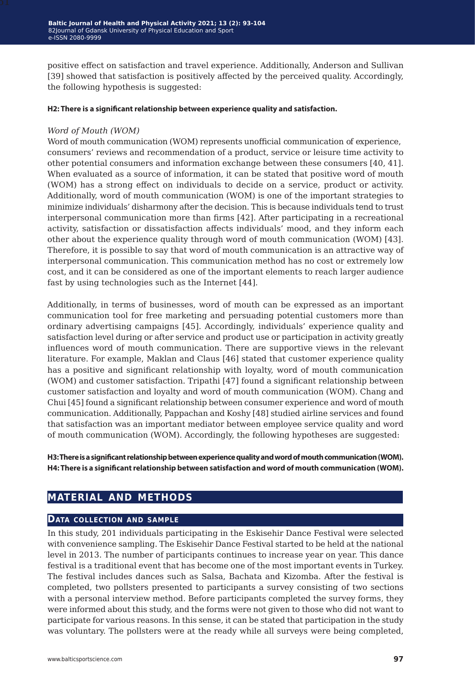positive effect on satisfaction and travel experience. Additionally, Anderson and Sullivan [39] showed that satisfaction is positively affected by the perceived quality. Accordingly, the following hypothesis is suggested:

#### **H2: There is a significant relationship between experience quality and satisfaction.**

#### *Word of Mouth (WOM)*

Word of mouth communication (WOM) represents unofficial communication of experience, consumers' reviews and recommendation of a product, service or leisure time activity to other potential consumers and information exchange between these consumers [40, 41]. When evaluated as a source of information, it can be stated that positive word of mouth (WOM) has a strong effect on individuals to decide on a service, product or activity. Additionally, word of mouth communication (WOM) is one of the important strategies to minimize individuals' disharmony after the decision. This is because individuals tend to trust interpersonal communication more than firms [42]. After participating in a recreational activity, satisfaction or dissatisfaction affects individuals' mood, and they inform each other about the experience quality through word of mouth communication (WOM) [43]. Therefore, it is possible to say that word of mouth communication is an attractive way of interpersonal communication. This communication method has no cost or extremely low cost, and it can be considered as one of the important elements to reach larger audience fast by using technologies such as the Internet [44].

Additionally, in terms of businesses, word of mouth can be expressed as an important communication tool for free marketing and persuading potential customers more than ordinary advertising campaigns [45]. Accordingly, individuals' experience quality and satisfaction level during or after service and product use or participation in activity greatly influences word of mouth communication. There are supportive views in the relevant literature. For example, Maklan and Claus [46] stated that customer experience quality has a positive and significant relationship with loyalty, word of mouth communication (WOM) and customer satisfaction. Tripathi [47] found a significant relationship between customer satisfaction and loyalty and word of mouth communication (WOM). Chang and Chui [45] found a significant relationship between consumer experience and word of mouth communication. Additionally, Pappachan and Koshy [48] studied airline services and found that satisfaction was an important mediator between employee service quality and word of mouth communication (WOM). Accordingly, the following hypotheses are suggested:

**H3: There is a significant relationship between experience quality and word of mouth communication (WOM). H4: There is a significant relationship between satisfaction and word of mouth communication (WOM).**

### **material and methods**

#### **Data collection and sample**

In this study, 201 individuals participating in the Eskisehir Dance Festival were selected with convenience sampling. The Eskisehir Dance Festival started to be held at the national level in 2013. The number of participants continues to increase year on year. This dance festival is a traditional event that has become one of the most important events in Turkey. The festival includes dances such as Salsa, Bachata and Kizomba. After the festival is completed, two pollsters presented to participants a survey consisting of two sections with a personal interview method. Before participants completed the survey forms, they were informed about this study, and the forms were not given to those who did not want to participate for various reasons. In this sense, it can be stated that participation in the study was voluntary. The pollsters were at the ready while all surveys were being completed,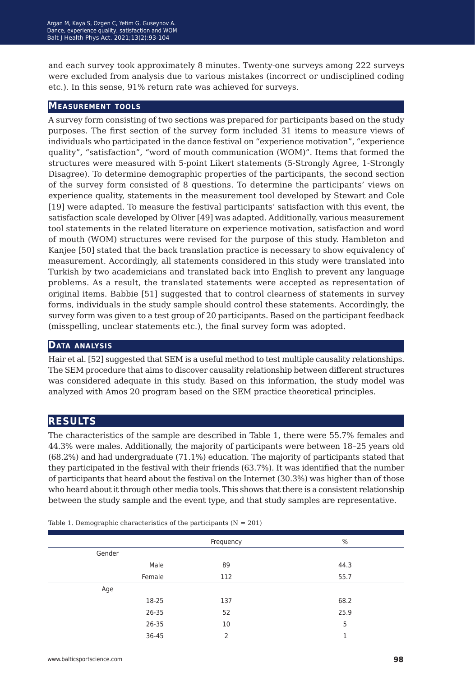and each survey took approximately 8 minutes. Twenty-one surveys among 222 surveys were excluded from analysis due to various mistakes (incorrect or undisciplined coding etc.). In this sense, 91% return rate was achieved for surveys.

#### **Measurement tools**

A survey form consisting of two sections was prepared for participants based on the study purposes. The first section of the survey form included 31 items to measure views of individuals who participated in the dance festival on "experience motivation", "experience quality", "satisfaction", "word of mouth communication (WOM)". Items that formed the structures were measured with 5-point Likert statements (5-Strongly Agree, 1-Strongly Disagree). To determine demographic properties of the participants, the second section of the survey form consisted of 8 questions. To determine the participants' views on experience quality, statements in the measurement tool developed by Stewart and Cole [19] were adapted. To measure the festival participants' satisfaction with this event, the satisfaction scale developed by Oliver [49] was adapted. Additionally, various measurement tool statements in the related literature on experience motivation, satisfaction and word of mouth (WOM) structures were revised for the purpose of this study. Hambleton and Kanjee [50] stated that the back translation practice is necessary to show equivalency of measurement. Accordingly, all statements considered in this study were translated into Turkish by two academicians and translated back into English to prevent any language problems. As a result, the translated statements were accepted as representation of original items. Babbie [51] suggested that to control clearness of statements in survey forms, individuals in the study sample should control these statements. Accordingly, the survey form was given to a test group of 20 participants. Based on the participant feedback (misspelling, unclear statements etc.), the final survey form was adopted.

#### **Data analysis**

Hair et al. [52] suggested that SEM is a useful method to test multiple causality relationships. The SEM procedure that aims to discover causality relationship between different structures was considered adequate in this study. Based on this information, the study model was analyzed with Amos 20 program based on the SEM practice theoretical principles.

### **results**

The characteristics of the sample are described in Table 1, there were 55.7% females and 44.3% were males. Additionally, the majority of participants were between 18–25 years old (68.2%) and had undergraduate (71.1%) education. The majority of participants stated that they participated in the festival with their friends (63.7%). It was identified that the number of participants that heard about the festival on the Internet (30.3%) was higher than of those who heard about it through other media tools. This shows that there is a consistent relationship between the study sample and the event type, and that study samples are representative.

|        |        | Frequency      | $\%$ |
|--------|--------|----------------|------|
| Gender |        |                |      |
|        | Male   | 89             | 44.3 |
|        | Female | 112            | 55.7 |
| Age    |        |                |      |
|        | 18-25  | 137            | 68.2 |
|        | 26-35  | 52             | 25.9 |
|        | 26-35  | 10             | 5    |
|        | 36-45  | $\overline{2}$ | п    |

Table 1. Demographic characteristics of the participants  $(N = 201)$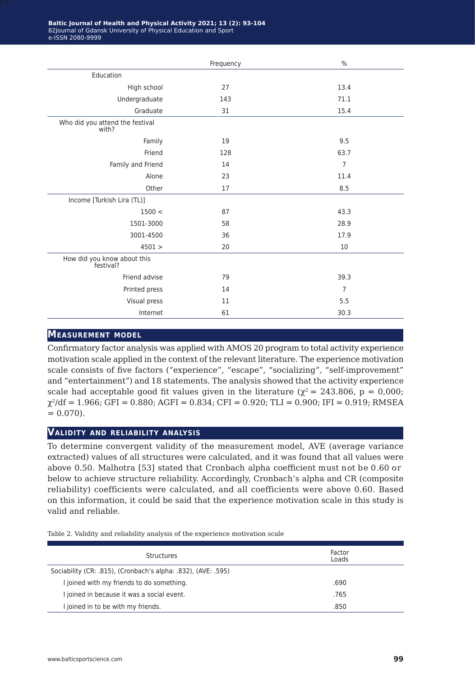|                                          | Frequency | $\frac{0}{0}$  |
|------------------------------------------|-----------|----------------|
| Education                                |           |                |
| High school                              | 27        | 13.4           |
| Undergraduate                            | 143       | 71.1           |
| Graduate                                 | 31        | 15.4           |
| Who did you attend the festival<br>with? |           |                |
| Family                                   | 19        | 9.5            |
| Friend                                   | 128       | 63.7           |
| Family and Friend                        | 14        | $\overline{7}$ |
| Alone                                    | 23        | 11.4           |
| Other                                    | 17        | 8.5            |
| Income [Turkish Lira (TL)]               |           |                |
| 1500 <                                   | 87        | 43.3           |
| 1501-3000                                | 58        | 28.9           |
| 3001-4500                                | 36        | 17.9           |
| 4501 >                                   | 20        | 10             |
| How did you know about this<br>festival? |           |                |
| Friend advise                            | 79        | 39.3           |
| Printed press                            | 14        | $\overline{7}$ |
| Visual press                             | 11        | 5.5            |
| Internet                                 | 61        | 30.3           |

### **Measurement model**

Confirmatory factor analysis was applied with AMOS 20 program to total activity experience motivation scale applied in the context of the relevant literature. The experience motivation scale consists of five factors ("experience", "escape", "socializing", "self-improvement" and "entertainment") and 18 statements. The analysis showed that the activity experience scale had acceptable good fit values given in the literature ( $\chi^2 = 243.806$ , p = 0,000;  $\chi^2/df = 1.966$ ; GFI = 0.880; AGFI = 0.834; CFI = 0.920; TLI = 0.900; IFI = 0.919; RMSEA  $= 0.070$ .

#### **Validity and reliability analysis**

To determine convergent validity of the measurement model, AVE (average variance extracted) values of all structures were calculated, and it was found that all values were above 0.50. Malhotra [53] stated that Cronbach alpha coefficient must not be 0.60 or below to achieve structure reliability. Accordingly, Cronbach's alpha and CR (composite reliability) coefficients were calculated, and all coefficients were above 0.60. Based on this information, it could be said that the experience motivation scale in this study is valid and reliable.

Table 2. Validity and reliability analysis of the experience motivation scale

| Structures                                                    | Factor<br>Loads |
|---------------------------------------------------------------|-----------------|
| Sociability (CR: .815), (Cronbach's alpha: .832), (AVE: .595) |                 |
| I joined with my friends to do something.                     | .690            |
| I joined in because it was a social event.                    | .765            |
| I joined in to be with my friends.                            | .850            |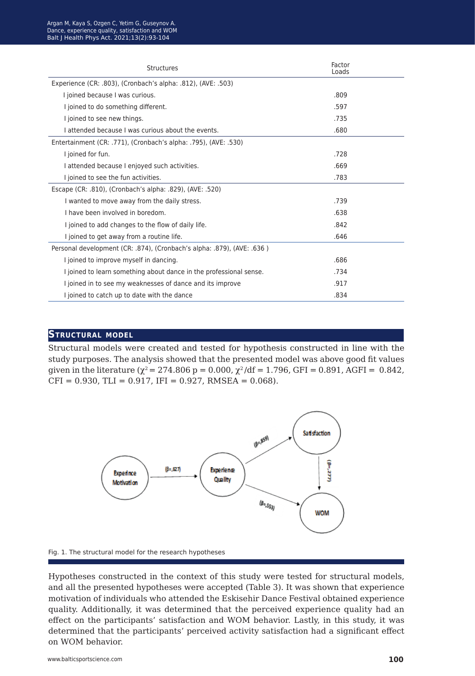| <b>Structures</b>                                                      | Factor<br>Loads |
|------------------------------------------------------------------------|-----------------|
| Experience (CR: .803), (Cronbach's alpha: .812), (AVE: .503)           |                 |
| I joined because I was curious.                                        | .809            |
| I joined to do something different.                                    | .597            |
| I joined to see new things.                                            | .735            |
| I attended because I was curious about the events.                     | .680            |
| Entertainment (CR: .771), (Cronbach's alpha: .795), (AVE: .530)        |                 |
| I joined for fun.                                                      | .728            |
| I attended because I enjoyed such activities.                          | .669            |
| I joined to see the fun activities.                                    | .783            |
| Escape (CR: .810), (Cronbach's alpha: .829), (AVE: .520)               |                 |
| I wanted to move away from the daily stress.                           | .739            |
| I have been involved in boredom.                                       | .638            |
| I joined to add changes to the flow of daily life.                     | .842            |
| I joined to get away from a routine life.                              | .646            |
| Personal development (CR: .874), (Cronbach's alpha: .879), (AVE: .636) |                 |
| I joined to improve myself in dancing.                                 | .686            |
| I joined to learn something about dance in the professional sense.     | .734            |
| I joined in to see my weaknesses of dance and its improve              | .917            |
| I joined to catch up to date with the dance                            | .834            |

#### **Structural model**

Structural models were created and tested for hypothesis constructed in line with the study purposes. The analysis showed that the presented model was above good fit values given in the literature ( $\chi^2$  = 274.806 p = 0.000,  $\chi^2$ /df = 1.796, GFI = 0.891, AGFI = 0.842,  $CFI = 0.930$ , TLI = 0.917, IFI = 0.927, RMSEA = 0.068).



Fig. 1. The structural model for the research hypotheses

Hypotheses constructed in the context of this study were tested for structural models, and all the presented hypotheses were accepted (Table 3). It was shown that experience motivation of individuals who attended the Eskisehir Dance Festival obtained experience quality. Additionally, it was determined that the perceived experience quality had an effect on the participants' satisfaction and WOM behavior. Lastly, in this study, it was determined that the participants' perceived activity satisfaction had a significant effect on WOM behavior.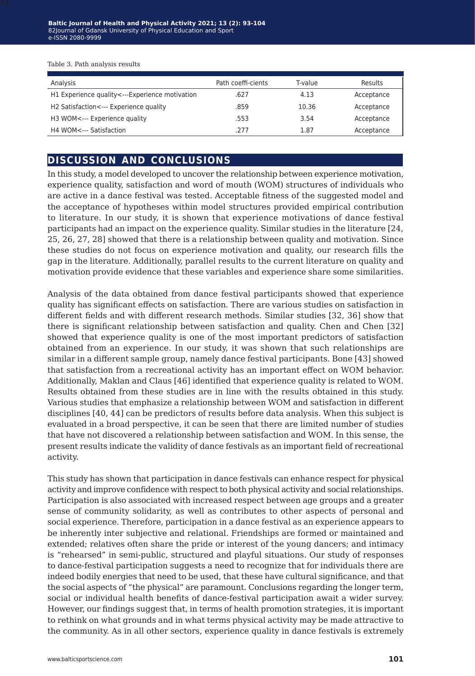Table 3. Path analysis results

| Analysis                                       | Path coeffi-cients | T-value | Results    |
|------------------------------------------------|--------------------|---------|------------|
| H1 Experience quality<---Experience motivation | .627               | 4.13    | Acceptance |
| H2 Satisfaction <--- Experience quality        | .859               | 10.36   | Acceptance |
| H3 WOM<--- Experience quality                  | .553               | 3.54    | Acceptance |
| H4 WOM<--- Satisfaction                        | .277               | 1.87    | Acceptance |

## **discussion and conclusions**

In this study, a model developed to uncover the relationship between experience motivation, experience quality, satisfaction and word of mouth (WOM) structures of individuals who are active in a dance festival was tested. Acceptable fitness of the suggested model and the acceptance of hypotheses within model structures provided empirical contribution to literature. In our study, it is shown that experience motivations of dance festival participants had an impact on the experience quality. Similar studies in the literature [24, 25, 26, 27, 28] showed that there is a relationship between quality and motivation. Since these studies do not focus on experience motivation and quality, our research fills the gap in the literature. Additionally, parallel results to the current literature on quality and motivation provide evidence that these variables and experience share some similarities.

Analysis of the data obtained from dance festival participants showed that experience quality has significant effects on satisfaction. There are various studies on satisfaction in different fields and with different research methods. Similar studies [32, 36] show that there is significant relationship between satisfaction and quality. Chen and Chen [32] showed that experience quality is one of the most important predictors of satisfaction obtained from an experience. In our study, it was shown that such relationships are similar in a different sample group, namely dance festival participants. Bone [43] showed that satisfaction from a recreational activity has an important effect on WOM behavior. Additionally, Maklan and Claus [46] identified that experience quality is related to WOM. Results obtained from these studies are in line with the results obtained in this study. Various studies that emphasize a relationship between WOM and satisfaction in different disciplines [40, 44] can be predictors of results before data analysis. When this subject is evaluated in a broad perspective, it can be seen that there are limited number of studies that have not discovered a relationship between satisfaction and WOM. In this sense, the present results indicate the validity of dance festivals as an important field of recreational activity.

This study has shown that participation in dance festivals can enhance respect for physical activity and improve confidence with respect to both physical activity and social relationships. Participation is also associated with increased respect between age groups and a greater sense of community solidarity, as well as contributes to other aspects of personal and social experience. Therefore, participation in a dance festival as an experience appears to be inherently inter subjective and relational. Friendships are formed or maintained and extended; relatives often share the pride or interest of the young dancers; and intimacy is "rehearsed" in semi-public, structured and playful situations. Our study of responses to dance-festival participation suggests a need to recognize that for individuals there are indeed bodily energies that need to be used, that these have cultural significance, and that the social aspects of "the physical" are paramount. Conclusions regarding the longer term, social or individual health benefits of dance-festival participation await a wider survey. However, our findings suggest that, in terms of health promotion strategies, it is important to rethink on what grounds and in what terms physical activity may be made attractive to the community. As in all other sectors, experience quality in dance festivals is extremely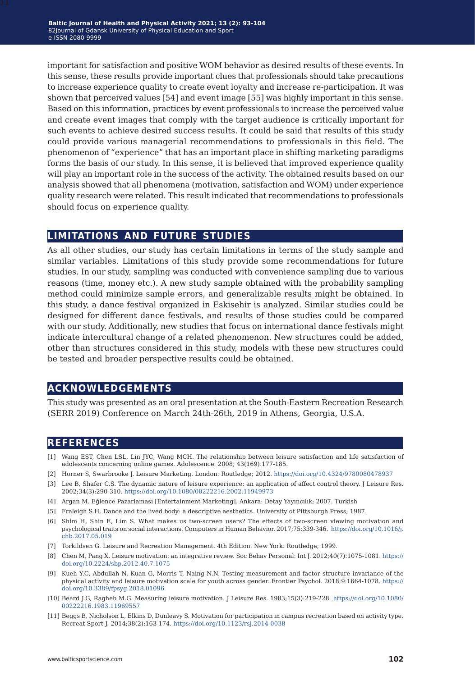important for satisfaction and positive WOM behavior as desired results of these events. In this sense, these results provide important clues that professionals should take precautions to increase experience quality to create event loyalty and increase re-participation. It was shown that perceived values [54] and event image [55] was highly important in this sense. Based on this information, practices by event professionals to increase the perceived value and create event images that comply with the target audience is critically important for such events to achieve desired success results. It could be said that results of this study could provide various managerial recommendations to professionals in this field. The phenomenon of "experience" that has an important place in shifting marketing paradigms forms the basis of our study. In this sense, it is believed that improved experience quality will play an important role in the success of the activity. The obtained results based on our analysis showed that all phenomena (motivation, satisfaction and WOM) under experience quality research were related. This result indicated that recommendations to professionals should focus on experience quality.

### **limitations and future studies**

As all other studies, our study has certain limitations in terms of the study sample and similar variables. Limitations of this study provide some recommendations for future studies. In our study, sampling was conducted with convenience sampling due to various reasons (time, money etc.). A new study sample obtained with the probability sampling method could minimize sample errors, and generalizable results might be obtained. In this study, a dance festival organized in Eskisehir is analyzed. Similar studies could be designed for different dance festivals, and results of those studies could be compared with our study. Additionally, new studies that focus on international dance festivals might indicate intercultural change of a related phenomenon. New structures could be added, other than structures considered in this study, models with these new structures could be tested and broader perspective results could be obtained.

### **acknowledgements**

This study was presented as an oral presentation at the South-Eastern Recreation Research (SERR 2019) Conference on March 24th-26th, 2019 in Athens, Georgia, U.S.A.

### **references**

- [1] Wang EST, Chen LSL, Lin JYC, Wang MCH. The relationship between leisure satisfaction and life satisfaction of adolescents concerning online games. Adolescence. 2008; 43(169):177-185.
- [2] Horner S, Swarbrooke J. Leisure Marketing. London: Routledge; 2012.<https://doi.org/10.4324/9780080478937>
- [3] Lee B, Shafer C.S. The dynamic nature of leisure experience: an application of affect control theory. J Leisure Res. 2002;34(3):290-310. <https://doi.org/10.1080/00222216.2002.11949973>
- [4] Argan M. Eğlence Pazarlaması [Entertainment Marketing]. Ankara: Detay Yayıncılık; 2007. Turkish
- [5] Fraleigh S.H. Dance and the lived body: a descriptive aesthetics. University of Pittsburgh Press; 1987.
- [6] Shim H, Shin E, Lim S. What makes us two-screen users? The effects of two-screen viewing motivation and psychological traits on social interactions. Computers in Human Behavior. 2017;75:339-346. [https://doi.org/10.1016/j.](https://doi.org/10.1016/j.chb.2017.05.019) [chb.2017.05.019](https://doi.org/10.1016/j.chb.2017.05.019)
- [7] Torkildsen G. Leisure and Recreation Management. 4th Edition. New York: Routledge; 1999.
- [8] Chen M, Pang X. Leisure motivation: an integrative review. Soc Behav Personal: Int J. 2012;40(7):1075-1081. [https://](https://doi.org/10.2224/sbp.2012.40.7.1075) [doi.org/10.2224/sbp.2012.40.7.1075](https://doi.org/10.2224/sbp.2012.40.7.1075)
- [9] Kueh Y.C, Abdullah N, Kuan G, Morris T, Naing N.N. Testing measurement and factor structure invariance of the physical activity and leisure motivation scale for youth across gender. Frontier Psychol. 2018;9:1664-1078. [https://](https://doi.org/10.3389/fpsyg.2018.01096) [doi.org/10.3389/fpsyg.2018.01096](https://doi.org/10.3389/fpsyg.2018.01096)
- [10] Beard J.G, Ragheb M.G. Measuring leisure motivation. J Leisure Res. 1983;15(3):219-228. [https://doi.org/10.1080/](https://doi.org/10.1080/00222216.1983.11969557) [00222216.1983.11969557](https://doi.org/10.1080/00222216.1983.11969557)
- [11] Beggs B, Nicholson L, Elkins D, Dunleavy S. Motivation for participation in campus recreation based on activity type. Recreat Sport J. 2014;38(2):163-174.<https://doi.org/10.1123/rsj.2014-0038>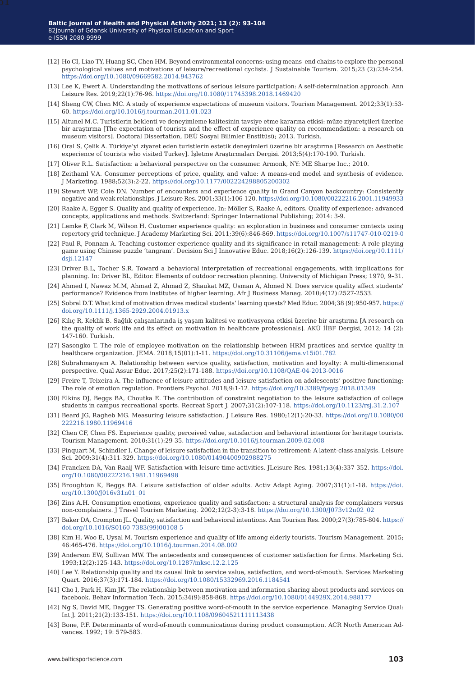- [12] Ho CI, Liao TY, Huang SC, Chen HM. Beyond environmental concerns: using means–end chains to explore the personal psychological values and motivations of leisure/recreational cyclists. J Sustainable Tourism. 2015;23 (2):234-254. <https://doi.org/10.1080/09669582.2014.943762>
- [13] Lee K, Ewert A. Understanding the motivations of serious leisure participation: A self-determination approach. Ann Leisure Res. 2019;22(1):76-96. <https://doi.org/10.1080/11745398.2018.1469420>
- [14] Sheng CW, Chen MC. A study of experience expectations of museum visitors. Tourism Management. 2012;33(1):53- 60. [https://doi.org/10.1016/j.tourman.2011.01.023](https://doi.org/10.1016/j.tourman.2011.01.023 )
- [15] Altunel M.C. Turistlerin beklenti ve deneyimleme kalitesinin tavsiye etme kararına etkisi: müze ziyaretçileri üzerine bir araştırma [The expectation of tourists and the effect of experience quality on recommendation: a research on museum visitors]. Doctoral Dissertation, DEÜ Sosyal Bilimler Enstitüsü; 2013. Turkish.
- [16] Oral S, Çelik A. Türkiye'yi ziyaret eden turistlerin estetik deneyimleri üzerine bir araştırma [Research on Aesthetic experience of tourists who visited Turkey]. İşletme Araştırmaları Dergisi. 2013;5(4):170-190. Turkish.
- [17] Oliver R.L. Satisfaction: a behavioral perspective on the consumer. Armonk, NY: ME Sharpe Inc.; 2010.
- [18] Zeithaml V.A. Consumer perceptions of price, quality, and value: A means-end model and synthesis of evidence. J Marketing. 1988;52(3):2-22. <https://doi.org/10.1177/002224298805200302>
- [19] Stewart WP, Cole DN. Number of encounters and experience quality in Grand Canyon backcountry: Consistently negative and weak relationships. J Leisure Res. 2001;33(1):106-120.<https://doi.org/10.1080/00222216.2001.11949933>
- [20] Raake A, Egger S. Quality and quality of experience. In: Möller S, Raake A, editors. Quality of experience: advanced concepts, applications and methods. Switzerland: Springer International Publishing; 2014: 3-9.
- [21] Lemke F, Clark M, Wilson H. Customer experience quality: an exploration in business and consumer contexts using repertory grid technique. J Academy Marketing Sci. 2011;39(6):846-869.<https://doi.org/10.1007/s11747-010-0219-0>
- [22] Paul R, Ponnam A. Teaching customer experience quality and its significance in retail management: A role playing game using Chinese puzzle 'tangram'. Decision Sci J Innovative Educ. 2018;16(2):126-139. [https://doi.org/10.1111/](https://doi.org/10.1111/dsji.12147) [dsji.12147](https://doi.org/10.1111/dsji.12147)
- [23] Driver B.L, Tocher S.R. Toward a behavioral interpretation of recreational engagements, with implications for planning. In: Driver BL, Editor. Elements of outdoor recreation planning. University of Michigan Press; 1970, 9–31.
- [24] Ahmed I, Nawaz M.M, Ahmad Z, Ahmad Z, Shaukat MZ, Usman A, Ahmed N. Does service quality affect students' performance? Evidence from institutes of higher learning. Afr J Business Manag. 2010;4(12):2527-2533.
- [25] Sobral D.T. What kind of motivation drives medical students' learning quests? Med Educ. 2004;38 (9):950-957. [https://](https://doi.org/10.1111/j.1365-2929.2004.01913.x) [doi.org/10.1111/j.1365-2929.2004.01913.x](https://doi.org/10.1111/j.1365-2929.2004.01913.x)
- [26] Kılıç R, Keklik B. Sağlık çalışanlarında iş yaşam kalitesi ve motivasyona etkisi üzerine bir araştırma [A research on the quality of work life and its effect on motivation in healthcare professionals]. AKÜ İİBF Dergisi, 2012; 14 (2): 147-160. Turkish.
- [27] Sasongko T. The role of employee motivation on the relationship between HRM practices and service quality in healthcare organization. JEMA. 2018;15(01):1-11. <https://doi.org/10.31106/jema.v15i01.782>
- [28] Subrahmanyam A. Relationship between service quality, satisfaction, motivation and loyalty: A multi-dimensional perspective. Qual Assur Educ. 2017;25(2):171-188. <https://doi.org/10.1108/QAE-04-2013-0016>
- [29] Freire T, Teixeira A. The influence of leisure attitudes and leisure satisfaction on adolescents' positive functioning: The role of emotion regulation. Frontiers Psychol. 2018;9:1-12.<https://doi.org/10.3389/fpsyg.2018.01349>
- [30] Elkins DJ, Beggs BA, Choutka E. The contribution of constraint negotiation to the leisure satisfaction of college students in campus recreational sports. Recreat Sport J. 2007;31(2):107-118.<https://doi.org/10.1123/rsj.31.2.107>
- [31] Beard JG, Ragheb MG. Measuring leisure satisfaction. J Leisure Res. 1980;12(1):20-33. [https://doi.org/10.1080/00](https://doi.org/10.1080/00222216.1980.11969416) [222216.1980.11969416](https://doi.org/10.1080/00222216.1980.11969416)
- [32] Chen CF, Chen FS. Experience quality, perceived value, satisfaction and behavioral intentions for heritage tourists. Tourism Management. 2010;31(1):29-35. <https://doi.org/10.1016/j.tourman.2009.02.008>
- [33] Pinquart M, Schindler I. Change of leisure satisfaction in the transition to retirement: A latent-class analysis. Leisure Sci. 2009;31(4):311-329. <https://doi.org/10.1080/01490400902988275>
- [34] Francken DA, Van Raaij WF. Satisfaction with leisure time activities. JLeisure Res. 1981;13(4):337-352. [https://doi.](https://doi.org/10.1080/00222216.1981.11969498 ) [org/10.1080/00222216.1981.11969498](https://doi.org/10.1080/00222216.1981.11969498 )
- [35] Broughton K, Beggs BA. Leisure satisfaction of older adults. Activ Adapt Aging. 2007;31(1):1-18. [https://doi.](https://doi.org/10.1300/J016v31n01_01 ) [org/10.1300/J016v31n01\\_01](https://doi.org/10.1300/J016v31n01_01 )
- [36] Zins A.H. Consumption emotions, experience quality and satisfaction: a structural analysis for complainers versus non-complainers. J Travel Tourism Marketing. 2002;12(2-3):3-18. [https://doi.org/10.1300/J073v12n02\\_02](https://doi.org/10.1300/J073v12n02_02)
- [37] Baker DA, Crompton JL. Quality, satisfaction and behavioral intentions. Ann Tourism Res. 2000;27(3):785-804. [https://](https://doi.org/10.1016/S0160-7383(99)00108-5 ) [doi.org/10.1016/S0160-7383\(99\)00108-5](https://doi.org/10.1016/S0160-7383(99)00108-5 )
- [38] Kim H, Woo E, Uysal M. Tourism experience and quality of life among elderly tourists. Tourism Management. 2015; 46:465-476. <https://doi.org/10.1016/j.tourman.2014.08.002>
- [39] Anderson EW, Sullivan MW. The antecedents and consequences of customer satisfaction for firms. Marketing Sci. 1993;12(2):125-143. <https://doi.org/10.1287/mksc.12.2.125>
- [40] Lee Y. Relationship quality and its causal link to service value, satisfaction, and word-of-mouth. Services Marketing Quart. 2016;37(3):171-184. <https://doi.org/10.1080/15332969.2016.1184541>
- [41] Cho I, Park H, Kim JK. The relationship between motivation and information sharing about products and services on facebook. Behav Information Tech. 2015;34(9):858-868. <https://doi.org/10.1080/0144929X.2014.988177>
- [42] Ng S, David ME, Dagger TS. Generating positive word-of-mouth in the service experience. Managing Service Qual: Int J. 2011;21(2):133-151. <https://doi.org/10.1108/09604521111113438>
- [43] Bone, P.F. Determinants of word-of-mouth communications during product consumption. ACR North American Advances. 1992; 19: 579-583.